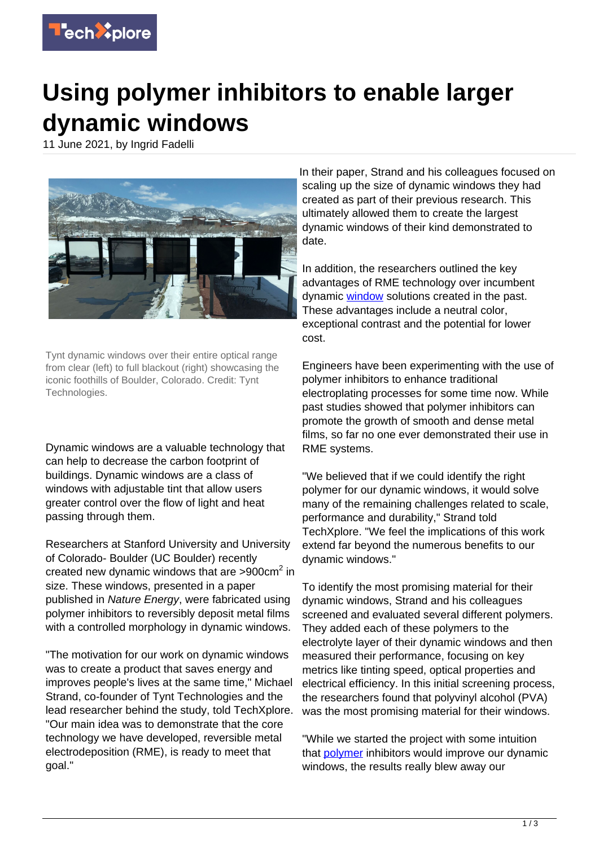

## **Using polymer inhibitors to enable larger dynamic windows**

11 June 2021, by Ingrid Fadelli



Tynt dynamic windows over their entire optical range from clear (left) to full blackout (right) showcasing the iconic foothills of Boulder, Colorado. Credit: Tynt Technologies.

Dynamic windows are a valuable technology that can help to decrease the carbon footprint of buildings. Dynamic windows are a class of windows with adjustable tint that allow users greater control over the flow of light and heat passing through them.

Researchers at Stanford University and University of Colorado- Boulder (UC Boulder) recently created new dynamic windows that are >900cm<sup>2</sup> in size. These windows, presented in a paper published in Nature Energy, were fabricated using polymer inhibitors to reversibly deposit metal films with a controlled morphology in dynamic windows.

"The motivation for our work on dynamic windows was to create a product that saves energy and improves people's lives at the same time," Michael Strand, co-founder of Tynt Technologies and the lead researcher behind the study, told TechXplore. "Our main idea was to demonstrate that the core technology we have developed, reversible metal electrodeposition (RME), is ready to meet that goal."

In their paper, Strand and his colleagues focused on scaling up the size of dynamic windows they had created as part of their previous research. This ultimately allowed them to create the largest dynamic windows of their kind demonstrated to date.

In addition, the researchers outlined the key advantages of RME technology over incumbent dynamic [window](https://techxplore.com/tags/window/) solutions created in the past. These advantages include a neutral color, exceptional contrast and the potential for lower cost.

Engineers have been experimenting with the use of polymer inhibitors to enhance traditional electroplating processes for some time now. While past studies showed that polymer inhibitors can promote the growth of smooth and dense metal films, so far no one ever demonstrated their use in RME systems.

"We believed that if we could identify the right polymer for our dynamic windows, it would solve many of the remaining challenges related to scale, performance and durability," Strand told TechXplore. "We feel the implications of this work extend far beyond the numerous benefits to our dynamic windows."

To identify the most promising material for their dynamic windows, Strand and his colleagues screened and evaluated several different polymers. They added each of these polymers to the electrolyte layer of their dynamic windows and then measured their performance, focusing on key metrics like tinting speed, optical properties and electrical efficiency. In this initial screening process, the researchers found that polyvinyl alcohol (PVA) was the most promising material for their windows.

"While we started the project with some intuition that **polymer** inhibitors would improve our dynamic windows, the results really blew away our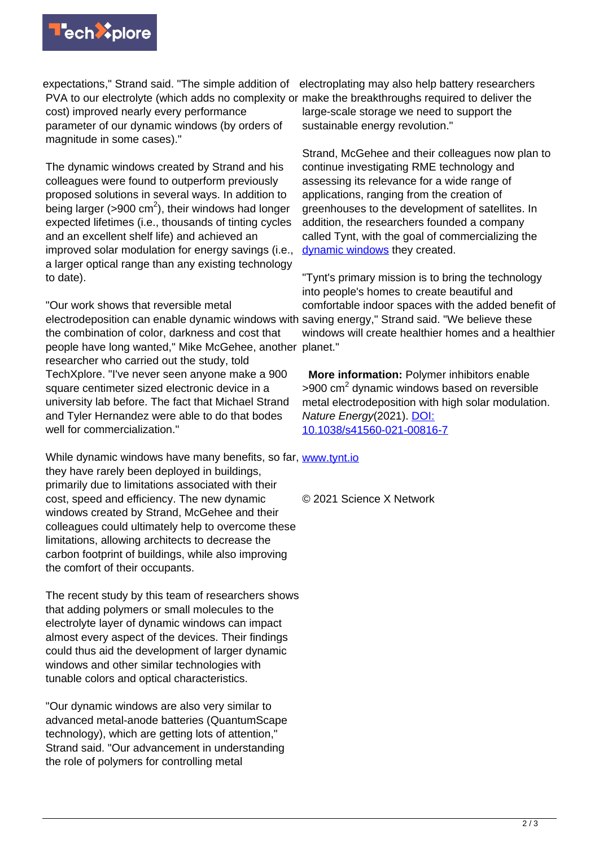

expectations," Strand said. "The simple addition of electroplating may also help battery researchers PVA to our electrolyte (which adds no complexity or make the breakthroughs required to deliver the cost) improved nearly every performance parameter of our dynamic windows (by orders of magnitude in some cases)." large-scale storage we need to support the sustainable energy revolution."

The dynamic windows created by Strand and his colleagues were found to outperform previously proposed solutions in several ways. In addition to being larger (>900 cm<sup>2</sup>), their windows had longer expected lifetimes (i.e., thousands of tinting cycles and an excellent shelf life) and achieved an improved solar modulation for energy savings (i.e., a larger optical range than any existing technology to date).

"Our work shows that reversible metal electrodeposition can enable dynamic windows with saving energy," Strand said. "We believe these the combination of color, darkness and cost that people have long wanted," Mike McGehee, another planet." researcher who carried out the study, told TechXplore. "I've never seen anyone make a 900 square centimeter sized electronic device in a university lab before. The fact that Michael Strand and Tyler Hernandez were able to do that bodes well for commercialization."

While dynamic windows have many benefits, so far, [www.tynt.io](https://www.tynt.io) they have rarely been deployed in buildings, primarily due to limitations associated with their cost, speed and efficiency. The new dynamic windows created by Strand, McGehee and their colleagues could ultimately help to overcome these limitations, allowing architects to decrease the carbon footprint of buildings, while also improving the comfort of their occupants.

The recent study by this team of researchers shows that adding polymers or small molecules to the electrolyte layer of dynamic windows can impact almost every aspect of the devices. Their findings could thus aid the development of larger dynamic windows and other similar technologies with tunable colors and optical characteristics.

"Our dynamic windows are also very similar to advanced metal-anode batteries (QuantumScape technology), which are getting lots of attention," Strand said. "Our advancement in understanding the role of polymers for controlling metal

Strand, McGehee and their colleagues now plan to continue investigating RME technology and assessing its relevance for a wide range of applications, ranging from the creation of greenhouses to the development of satellites. In addition, the researchers founded a company called Tynt, with the goal of commercializing the [dynamic windows](https://techxplore.com/tags/dynamic+windows/) they created.

"Tynt's primary mission is to bring the technology into people's homes to create beautiful and comfortable indoor spaces with the added benefit of windows will create healthier homes and a healthier

 **More information:** Polymer inhibitors enable >900 cm<sup>2</sup> dynamic windows based on reversible metal electrodeposition with high solar modulation. Nature Energy(2021). [DOI:](http://dx.doi.org/10.1038/s41560-021-00816-7) [10.1038/s41560-021-00816-7](http://dx.doi.org/10.1038/s41560-021-00816-7)

© 2021 Science X Network